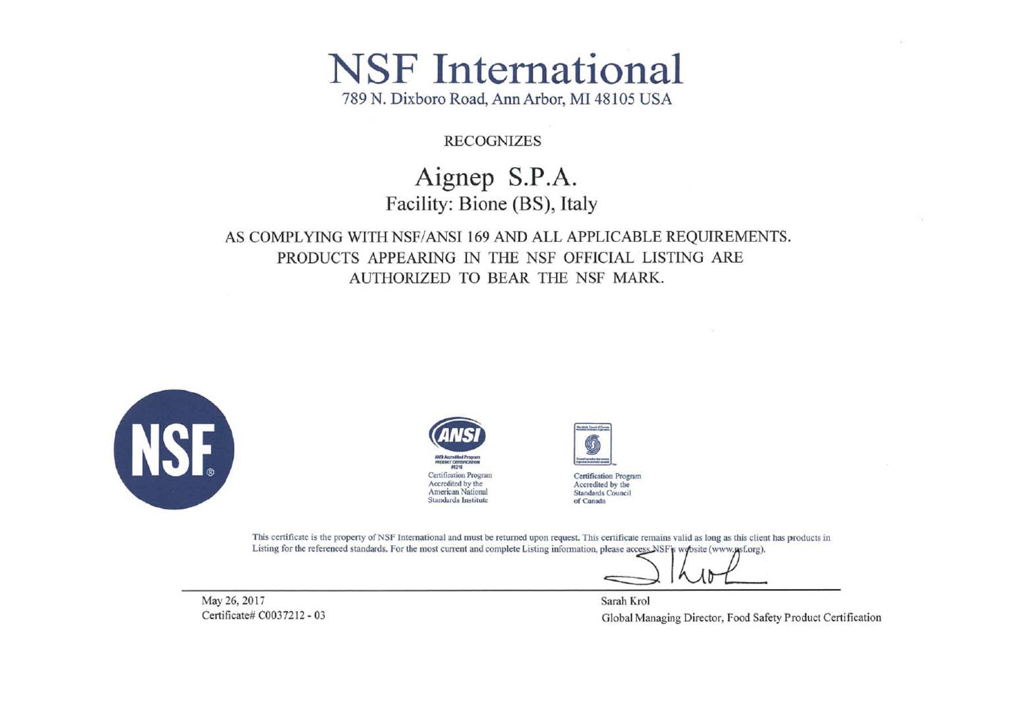# **NSF** International

789 N. Dixboro Road, Ann Arbor, MI 48105 USA

#### **RECOGNIZES**

## Aignep S.P.A. Facility: Bione (BS), Italy

### AS COMPLYING WITH NSF/ANSI 169 AND ALL APPLICABLE REQUIREMENTS. PRODUCTS APPEARING IN THE NSF OFFICIAL LISTING ARE AUTHORIZED TO BEAR THE NSF MARK.







Certification Program Accredited by the Standards Council of Canada

This certificate is the property of NSF International and must be returned upon request. This certificate remains valid as long as this client has products in Listing for the referenced standards. For the most current and complete Listing information, please access NSF's website (www.psf.org).

May 26, 2017 Certificate# C0037212 - 03

Sarah Krol Global Managing Director, Food Safety Product Certification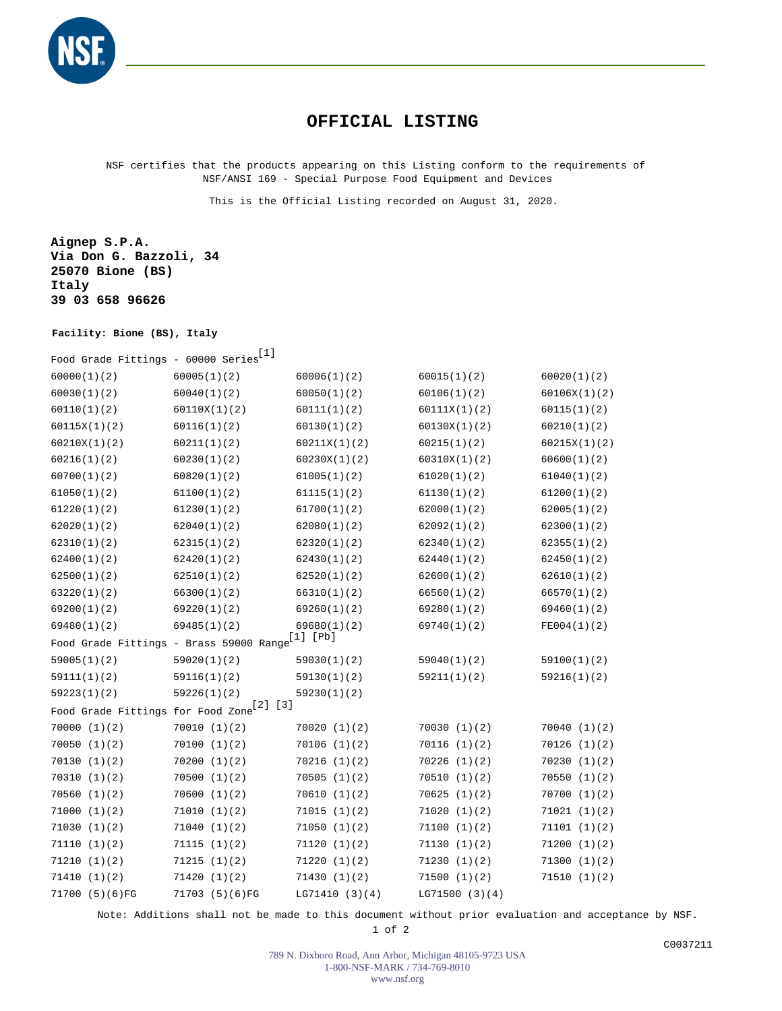

#### **OFFICIAL LISTING**

NSF certifies that the products appearing on this Listing conform to the requirements of NSF/ANSI 169 - Special Purpose Food Equipment and Devices

This is the Official Listing recorded on August 31, 2020.

**Aignep S.P.A. Via Don G. Bazzoli, 34 25070 Bione (BS) Italy 39 03 658 96626**

#### **Facility: Bione (BS), Italy**

| Food Grade Fittings - 60000 Series | $[1]$                                                       |                |                |              |
|------------------------------------|-------------------------------------------------------------|----------------|----------------|--------------|
| 60000(1)(2)                        | 60005(1)(2)                                                 | 60006(1)(2)    | 60015(1)(2)    | 60020(1)(2)  |
| 60030(1)(2)                        | 60040(1)(2)                                                 | 60050(1)(2)    | 60106(1)(2)    | 60106X(1)(2) |
| 60110(1)(2)                        | 60110X(1)(2)                                                | 60111(1)(2)    | 60111X(1)(2)   | 60115(1)(2)  |
| 60115X(1)(2)                       | 60116(1)(2)                                                 | 60130(1)(2)    | 60130X(1)(2)   | 60210(1)(2)  |
| 60210X(1)(2)                       | 60211(1)(2)                                                 | 60211X(1)(2)   | 60215(1)(2)    | 60215X(1)(2) |
| 60216(1)(2)                        | 60230(1)(2)                                                 | 60230X(1)(2)   | 60310X(1)(2)   | 60600(1)(2)  |
| 60700(1)(2)                        | 60820(1)(2)                                                 | 61005(1)(2)    | 61020(1)(2)    | 61040(1)(2)  |
| 61050(1)(2)                        | 61100(1)(2)                                                 | 61115(1)(2)    | 61130(1)(2)    | 61200(1)(2)  |
| 61220(1)(2)                        | 61230(1)(2)                                                 | 61700(1)(2)    | 62000(1)(2)    | 62005(1)(2)  |
| 62020(1)(2)                        | 62040(1)(2)                                                 | 62080(1)(2)    | 62092(1)(2)    | 62300(1)(2)  |
| 62310(1)(2)                        | 62315(1)(2)                                                 | 62320(1)(2)    | 62340(1)(2)    | 62355(1)(2)  |
| 62400(1)(2)                        | 62420(1)(2)                                                 | 62430(1)(2)    | 62440(1)(2)    | 62450(1)(2)  |
| 62500(1)(2)                        | 62510(1)(2)                                                 | 62520(1)(2)    | 62600(1)(2)    | 62610(1)(2)  |
| 63220(1)(2)                        | 66300(1)(2)                                                 | 66310(1)(2)    | 66560(1)(2)    | 66570(1)(2)  |
| 69200(1)(2)                        | 69220(1)(2)                                                 | 69260(1)(2)    | 69280(1)(2)    | 69460(1)(2)  |
| 69480(1)(2)                        | 69485(1)(2)                                                 | 69680(1)(2)    | 69740(1)(2)    | FE004(1)(2)  |
|                                    | Food Grade Fittings - Brass 59000 Range <sup>[1]</sup> [Pb] |                |                |              |
| 59005(1)(2)                        | 59020(1)(2)                                                 | 59030(1)(2)    | 59040(1)(2)    | 59100(1)(2)  |
| 59111(1)(2)                        | 59116(1)(2)                                                 | 59130(1)(2)    | 59211(1)(2)    | 59216(1)(2)  |
| 59223(1)(2)                        | 59226(1)(2)                                                 | 59230(1)(2)    |                |              |
| Food Grade Fittings for Food Zone  | [2] [3]                                                     |                |                |              |
| 70000(1)(2)                        | 70010(1)(2)                                                 | 70020(1)(2)    | 70030(1)(2)    | 70040(1)(2)  |
| 70050(1)(2)                        | 70100(1)(2)                                                 | 70106(1)(2)    | 70116(1)(2)    | 70126(1)(2)  |
| 70130(1)(2)                        | 70200(1)(2)                                                 | 70216(1)(2)    | 70226(1)(2)    | 70230(1)(2)  |
| 70310(1)(2)                        | 70500(1)(2)                                                 | 70505(1)(2)    | 70510(1)(2)    | 70550(1)(2)  |
| 70560(1)(2)                        | 70600(1)(2)                                                 | 70610 (1)(2)   | 70625(1)(2)    | 70700(1)(2)  |
| 71000(1)(2)                        | 71010(1)(2)                                                 | 71015 (1)(2)   | 71020(1)(2)    | 71021(1)(2)  |
| 71030(1)(2)                        | 71040(1)(2)                                                 | 71050 (1)(2)   | 71100(1)(2)    | 71101 (1)(2) |
| 71110 (1)(2)                       | 71115(1)(2)                                                 | 71120 (1)(2)   | 71130(1)(2)    | 71200(1)(2)  |
| 71210(1)(2)                        | 71215(1)(2)                                                 | 71220(1)(2)    | 71230(1)(2)    | 71300(1)(2)  |
| 71410(1)(2)                        | 71420 (1)(2)                                                | 71430 (1)(2)   | 71500(1)(2)    | 71510(1)(2)  |
| 71700 (5)(6)FG                     | 71703 (5)(6)FG                                              | LG71410 (3)(4) | LG71500 (3)(4) |              |

Note: Additions shall not be made to this document without prior evaluation and acceptance by NSF.

1 of 2